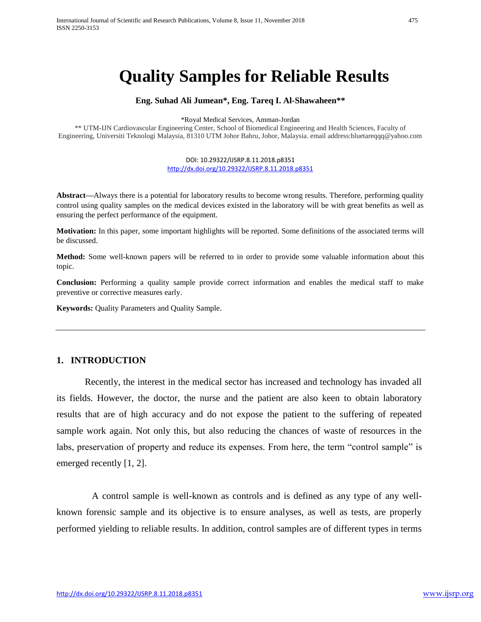# **Quality Samples for Reliable Results**

#### **Eng. Suhad Ali Jumean\*, Eng. Tareq I. Al-Shawaheen\*\***

\*Royal Medical Services, Amman-Jordan

\*\* UTM-IJN Cardiovascular Engineering Center, School of Biomedical Engineering and Health Sciences, Faculty of Engineering, Universiti Teknologi Malaysia, 81310 UTM Johor Bahru, Johor, Malaysia. email address:bluetareqqq@yahoo.com

> DOI: 10.29322/IJSRP.8.11.2018.p8351 <http://dx.doi.org/10.29322/IJSRP.8.11.2018.p8351>

**Abstract—**Always there is a potential for laboratory results to become wrong results. Therefore, performing quality control using quality samples on the medical devices existed in the laboratory will be with great benefits as well as ensuring the perfect performance of the equipment.

**Motivation:** In this paper, some important highlights will be reported. Some definitions of the associated terms will be discussed.

**Method:** Some well-known papers will be referred to in order to provide some valuable information about this topic.

**Conclusion:** Performing a quality sample provide correct information and enables the medical staff to make preventive or corrective measures early.

**Keywords:** Quality Parameters and Quality Sample.

### **1. INTRODUCTION**

Recently, the interest in the medical sector has increased and technology has invaded all its fields. However, the doctor, the nurse and the patient are also keen to obtain laboratory results that are of high accuracy and do not expose the patient to the suffering of repeated sample work again. Not only this, but also reducing the chances of waste of resources in the labs, preservation of property and reduce its expenses. From here, the term "control sample" is emerged recently [1, 2].

 A control sample is well-known as controls and is defined as any type of any wellknown forensic sample and its objective is to ensure analyses, as well as tests, are properly performed yielding to reliable results. In addition, control samples are of different types in terms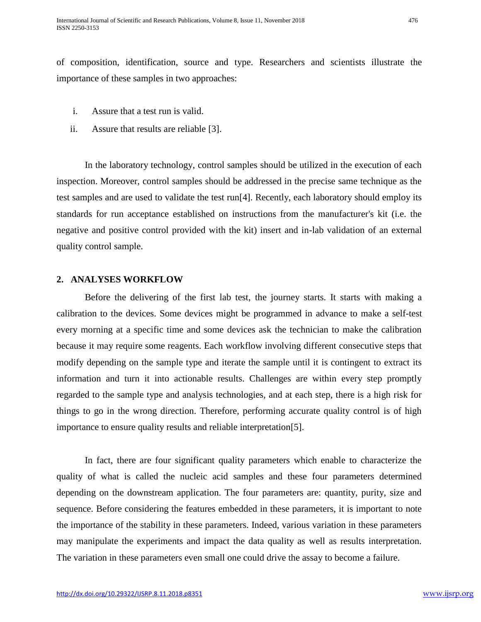of composition, identification, source and type. Researchers and scientists illustrate the importance of these samples in two approaches:

- i. Assure that a test run is valid.
- ii. Assure that results are reliable [3].

In the laboratory technology, control samples should be utilized in the execution of each inspection. Moreover, control samples should be addressed in the precise same technique as the test samples and are used to validate the test run[4]. Recently, each laboratory should employ its standards for run acceptance established on instructions from the manufacturer's kit (i.e. the negative and positive control provided with the kit) insert and in-lab validation of an external quality control sample.

#### **2. ANALYSES WORKFLOW**

Before the delivering of the first lab test, the journey starts. It starts with making a calibration to the devices. Some devices might be programmed in advance to make a self-test every morning at a specific time and some devices ask the technician to make the calibration because it may require some reagents. Each workflow involving different consecutive steps that modify depending on the sample type and iterate the sample until it is contingent to extract its information and turn it into actionable results. Challenges are within every step promptly regarded to the sample type and analysis technologies, and at each step, there is a high risk for things to go in the wrong direction. Therefore, performing accurate quality control is of high importance to ensure quality results and reliable interpretation[5].

In fact, there are four significant quality parameters which enable to characterize the quality of what is called the nucleic acid samples and these four parameters determined depending on the downstream application. The four parameters are: quantity, purity, size and sequence. Before considering the features embedded in these parameters, it is important to note the importance of the stability in these parameters. Indeed, various variation in these parameters may manipulate the experiments and impact the data quality as well as results interpretation. The variation in these parameters even small one could drive the assay to become a failure.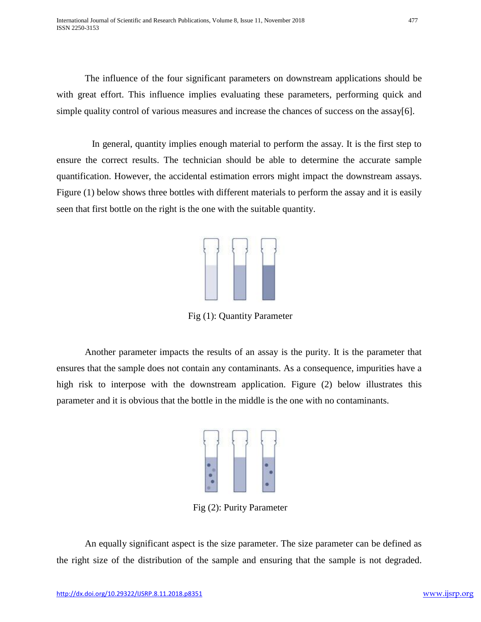The influence of the four significant parameters on downstream applications should be with great effort. This influence implies evaluating these parameters, performing quick and simple quality control of various measures and increase the chances of success on the assay[6].

 In general, quantity implies enough material to perform the assay. It is the first step to ensure the correct results. The technician should be able to determine the accurate sample quantification. However, the accidental estimation errors might impact the downstream assays. Figure (1) below shows three bottles with different materials to perform the assay and it is easily seen that first bottle on the right is the one with the suitable quantity.



Fig (1): Quantity Parameter

Another parameter impacts the results of an assay is the purity. It is the parameter that ensures that the sample does not contain any contaminants. As a consequence, impurities have a high risk to interpose with the downstream application. Figure (2) below illustrates this parameter and it is obvious that the bottle in the middle is the one with no contaminants.



Fig (2): Purity Parameter

An equally significant aspect is the size parameter. The size parameter can be defined as the right size of the distribution of the sample and ensuring that the sample is not degraded.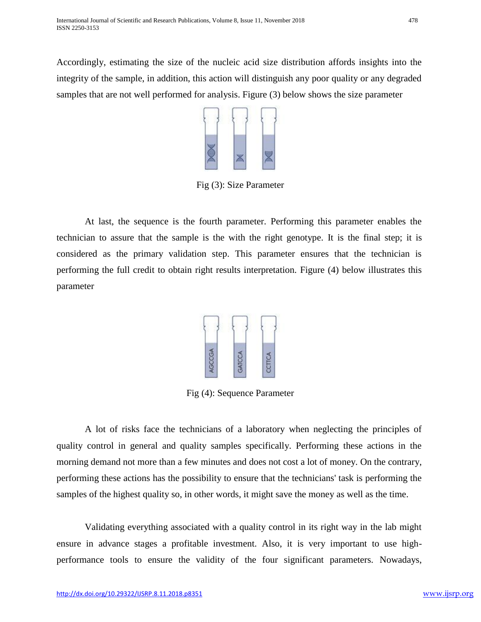Accordingly, estimating the size of the nucleic acid size distribution affords insights into the integrity of the sample, in addition, this action will distinguish any poor quality or any degraded samples that are not well performed for analysis. Figure (3) below shows the size parameter



Fig (3): Size Parameter

At last, the sequence is the fourth parameter. Performing this parameter enables the technician to assure that the sample is the with the right genotype. It is the final step; it is considered as the primary validation step. This parameter ensures that the technician is performing the full credit to obtain right results interpretation. Figure (4) below illustrates this parameter



Fig (4): Sequence Parameter

A lot of risks face the technicians of a laboratory when neglecting the principles of quality control in general and quality samples specifically. Performing these actions in the morning demand not more than a few minutes and does not cost a lot of money. On the contrary, performing these actions has the possibility to ensure that the technicians' task is performing the samples of the highest quality so, in other words, it might save the money as well as the time.

Validating everything associated with a quality control in its right way in the lab might ensure in advance stages a profitable investment. Also, it is very important to use highperformance tools to ensure the validity of the four significant parameters. Nowadays,